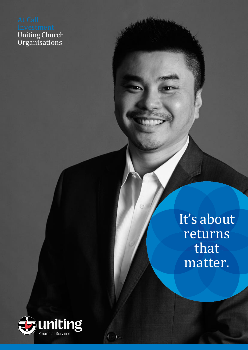Uniting Church **Organisations** 

> It's about returns that matter.



 $(1 - 1)$